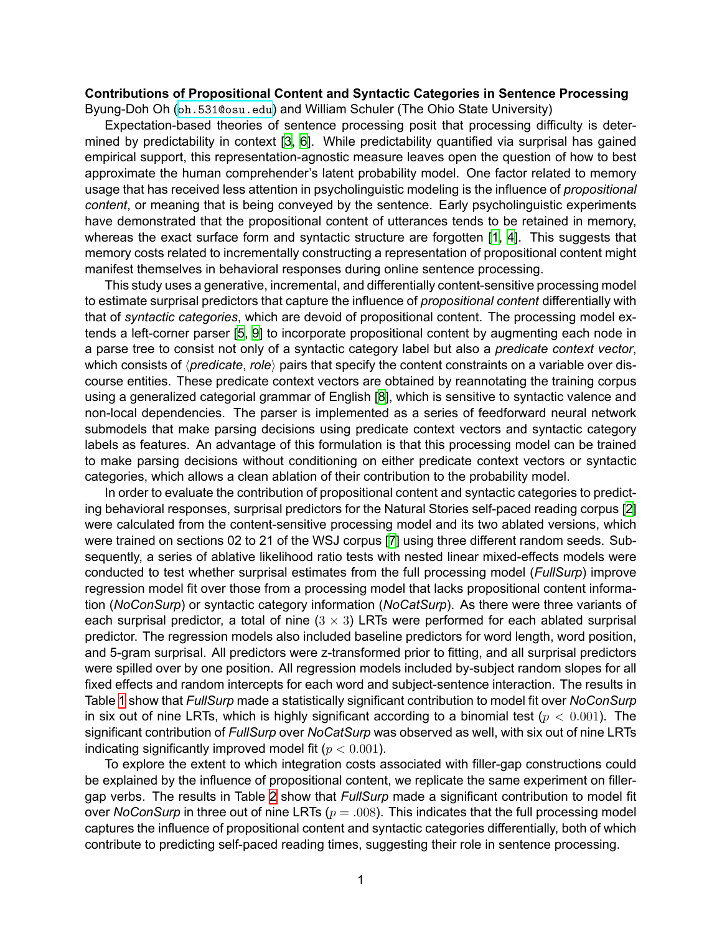## **Contributions of Propositional Content and Syntactic Categories in Sentence Processing** Byung-Doh Oh (oh. 531@osu.edu) and William Schuler (The Ohio State University)

Expectation-based theories of sentence processing posit that processing difficulty is determined by predictability in context [3, 6]. While predictability quantified via surprisal has gained empirical support, this representation-agnostic measure leaves open the question of how to best approximate the human comprehender's latent probability model. One factor related to memory usage that has received less attention in psycholinguistic modeling is the influence of *propositional content*, or meaning that is being conveyed by the sentence. Early psycholinguistic experiments have demonstrated that the propositional content of utterances tends to be retained in memory, whereas the exact surface form and syntactic structure are forgotten [1, 4]. This suggests that memory costs related to incrementally constructing a representation of propositional content might manifest themselves in behavioral responses during online sentence processing.

This study uses a generative, incremental, and differentially content-sensitive processing model to estimate surprisal predictors that capture the influence of *propositional content* differentially with that of *syntactic categories*, which are devoid of propositional content. The processing model extends a left-corner parser [5, 9] to incorporate propositional content by augmenting each node in a parse tree to consist not only of a syntactic category label but also a *predicate context vector*, which consists of *⟨predicate*, *role⟩* pairs that specify the content constraints on a variable over discourse entities. These predicate context vectors are obtained by reannotating the training corpus using a generalized categorial grammar of English [8], which is sensitive to syntactic valence and non-local dependencies. The parser is implemented as a series of feedforward neural network submodels that make parsing decisions using predicate context vectors and syntactic category labels as features. An advantage of this formulation is that this processing model can be trained to make parsing decisions without conditioning on either predicate context vectors or syntactic categories, which allows a clean ablation of their contribution to the probability model.

In order to evaluate the contribution of propositional content and syntactic categories to predicting behavioral responses, surprisal predictors for the Natural Stories self-paced reading corpus [2] were calculated from the content-sensitive processing model and its two ablated versions, which were trained on sections 02 to 21 of the WSJ corpus [7] using three different random seeds. Subsequently, a series of ablative likelihood ratio tests with nested linear mixed-effects models were conducted to test whether surprisal estimates from the full processing model (*FullSurp*) improve regression model fit over those from a processing model that lacks propositional content information (*NoConSurp*) or syntactic category information (*NoCatSurp*). As there were three variants of each surprisal predictor, a total of nine (3 *×* 3) LRTs were performed for each ablated surprisal predictor. The regression models also included baseline predictors for word length, word position, and 5-gram surprisal. All predictors were z-transformed prior to fitting, and all surprisal predictors were spilled over by one position. All regression models included by-subject random slopes for all fixed effects and random intercepts for each word and subject-sentence interaction. The results in Table 1 show that *FullSurp* made a statistically significant contribution to model fit over *NoConSurp* in six out of nine LRTs, which is highly significant according to a binomial test (*p <* 0*.*001). The significant contribution of *FullSurp* over *NoCatSurp* was observed as well, with six out of nine LRTs indicating significantly improved model fit (*p <* 0*.*001).

To explore the extent to which integration costs associated with filler-gap constructions could be explained by the influence of propositional content, we replicate the same experiment on fillergap verbs. The results in Table 2 show that *FullSurp* made a significant contribution to model fit over *NoConSurp* in three out of nine LRTs (*p* = *.*008). This indicates that the full processing model captures the influence of propositional content and syntactic categories differentially, both of which contribute to predicting self-paced reading times, suggesting their role in sentence processing.